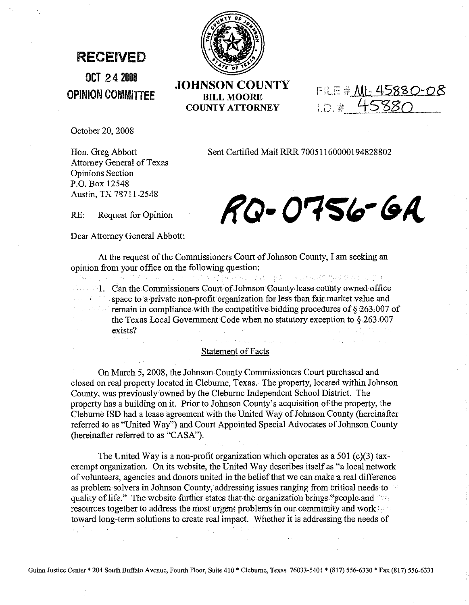## **RECEIVED**

**OCT 242008 OPINION COMMITTEE**



**JOHNSON COUNTY** BILL MOORE **COUNTY ATTORNEY**

FILE # 111-45880-08 I.D. # 45880

October 20, 2008

Sent Certified Mail RRR 70051160000194828802

Hon. Greg Abbott Attorney General of Texas Opinions Section P.O. Box 12548 Austin, TX 78711-2548

RQ-0756-6A

Dear Attorney General Abbott:

RE: Request for Opinion

のうかい けいようかい

At the request of the Commissioners Court of Johnson County, I am seeking an opinion from your office on the following question:

1. Can the Commissioners Court of Johnson County lease county owned office<br>space to a private non-profit organization for less than fair market value and space to a private non-profit organization for less than fair market value and  $\mathcal{O} = \mathcal{O}(\log\log\log\log n)$ remain in compliance with the competitive bidding procedures of § 263,007 of the Texas Local Government Code when no statutory exception to §263.007 exists?

 $\sigma$  is a present one of the single state of a projection of  $\sigma$ 

## **Statement of Facts**

On March 5, 2008, the Johnson County Commissioners Court purchased and closed on real property located in Cleburne, Texas. The property, located within Johnson County, was previouslyowned by the Cleburne Independent School District. The property has a building on it. Prior to Johnson County's acquisition of the property, the Cleburne ISD had a lease agreement with the United Way of Johnson County (hereinafter referred to as "United Way") and Court Appointed Special Advocates of Johnson County (hereinafter referred to as "CASA").

The United Way is a non-profit organization which operates as a 501 (c)(3) taxexempt organization. On its website, the United Way describes itself as "a local network of volunteers, agencies and donors united in the belief that we can make a real difference as problem solvers in Johnson County, addressing issues ranging from critical needs to quality of life." The website further states that the organization brings "people and resources together to address the most urgent problems in our community and work: toward long-term solutions to create real impact. Whether it is addressing the needs of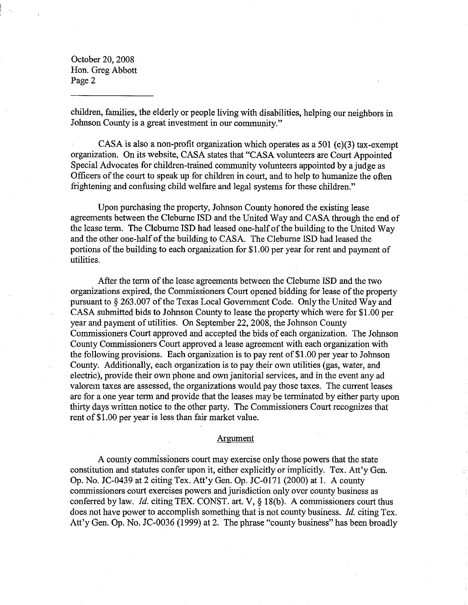children, families, the elderly or people living with disabilities, helping our neighbors in Johnson County is a great investment in our community."

CASA is also a non-profit organization which operates as a 501 (c)(3) tax-exempt organization. On its website, CASA states that "CASA volunteers are Court Appointed Special Advocates for children-trained community volunteers appointed by a judge as Officers of the court to speak up for children in court, and to help to humanize the often frightening and confusing child welfare and legal systems for these children."

Upon purchasing the property, Johnson County honored the existing lease agreements between the Cleburne ISD and the United Way and CASA through the end of the lease term. The Cleburne ISD had leased one-halfofthe building to the United Way and the other one-half of the building to CASA. The Cleburne ISD had leased the portions of the building to each organization for \$1.00 per year for rent and payment of utilities.

After the term of the lease agreements between the Cleburne ISD and the two organizations expired, the Commissioners Court opened bidding for lease of the property pursuant to  $\S 263.007$  of the Texas Local Government Code. Only the United Way and CASA submitted bids to Johnson County to lease the property which were for \$1.00 per year and payment of utilities. On September 22,2008, the Johnson County Commissioners Court approved and accepted the bids of each organization. The Johnson County Commissioners Court approved a lease agreement with each organization with the following provisions. Each organization is to pay rent of \$1.00 per year to Johnson County. Additionally, each organization is to pay their own utilities (gas, water, and electric), provide their own phone and own janitorial services, and in the event any ad valorem taxes are assessed, the organizations would pay those taxes. The current leases are for a one year term and provide that the leases may be terminated by either party upon thirty days written notice to the other party. The Commissioners Court recognizes that rent of \$1.00 per year is less than fair market value.

## Argument

A county commissioners court may exercise only those powers that the state constitution and statutes confer upon it, either explicitly or implicitly. Tex. Att'y Gen. Op. No. JC-0439 at 2 citing Tex. Att'y Gen. Op. JC-0171 (2000) at 1. A county commissioners court exercises powers and jurisdiction only over county business as conferred by law. *Id.* citing TEX. CONST. art. V,  $\S$  18(b). A commissioners court thus does not have power to accomplish something that is not county business. Id. citing Tex. Att'y Gen. Op. No. JC-0036 (1999) at 2. The phrase "county business" has been broadly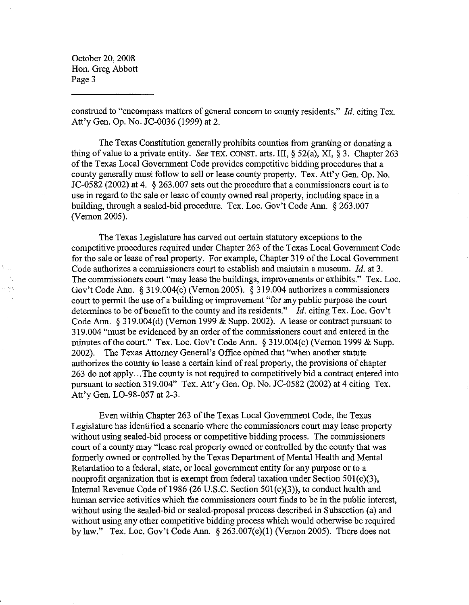construed to "encompass matters of general concern to county residents." *[d.* citing Tex. Att'y Gen. Op. No. JC-0036 (1999) at 2.

The Texas Constitution generally prohibits counties from granting or donating a thing of value to a private entity. *See* TEX. CONST. arts. III, § 52(a), XI, § 3. Chapter 263 ofthe Texas Local Government Code provides competitive bidding procedures that a county generally must follow to sell or lease county property. Tex. Att'y Gen. Op. No. JC-0582 (2002) at 4. § 263.007 sets out the procedure that a commissioners court is to use in regard to the sale or lease of county owned real property, including space in a building, through a sealed-bid procedure. Tex. Loc. Gov't Code Ann. § 263.007 (Vernon 2005).

The Texas Legislature has carved out certain statutory exceptions to the competitive procedures required under Chapter 263 of the Texas Local Government Code for the sale or lease of real property. For example, Chapter 319 of the Local Government Code authorizes a commissioners court to establish and maintain a museum. *[d.* at 3. The commissioners court "may lease the buildings, improvements or exhibits." Tex. Loc. Gov't Code Ann. § 319.004(c)(Vernon 2005). § 319.004 authorizes a commissioners court to permit the use of a building or improvement "for any public purpose the court determines to be of benefit to the county and its residents." *Id.* citing Tex. Loc. Gov't Code Ann. § 319.004(d) (Vernon 1999 & Supp. 2002). A lease or contract pursuant to 319.004 "must be evidenced by an order ofthe commissioners court and entered in the minutes of the court." Tex. Loc. Gov't Code Ann. § 319.004(c) (Vernon 1999 & Supp. 2002). The Texas Attorney General's Office opined that "when another statute authorizes the county to lease a certain kind ofreal property, the provisions of chapter 263 do not apply...The county is not required to competitively bid a contract entered into pursuant to section 319.004" Tex. Att'y Gen. Op. No. JC-0582 (2002) at 4 citing Tex. Att'y Gen. LO-98-057 at 2-3.

Even within Chapter 263 of the Texas Local Government Code, the Texas Legislature has identified a scenario where the commissioners court may lease property without using sealed-bid process or competitive bidding process. The commissioners court of a county may "lease real property owned or controlled by the county that was formerly owned or controlled by the Texas Department of Mental Health and Mental Retardation to a federal, state, or local government entity for any purpose or to a nonprofit organization that is exempt from federal taxation under Section 501(c)(3), Internal Revenue Code of 1986 (26 U.S.c. Section 501(c)(3)), to conduct health and human service activities which the commissioners court fmds to be in the public interest, without using the sealed-bid or sealed-proposal process described in Subsection (a) and without using any other competitive bidding process which would otherwise be required by law." Tex. Loc. Gov't Code Ann. § 263.007(e)(l) (Vernon 2005). There does not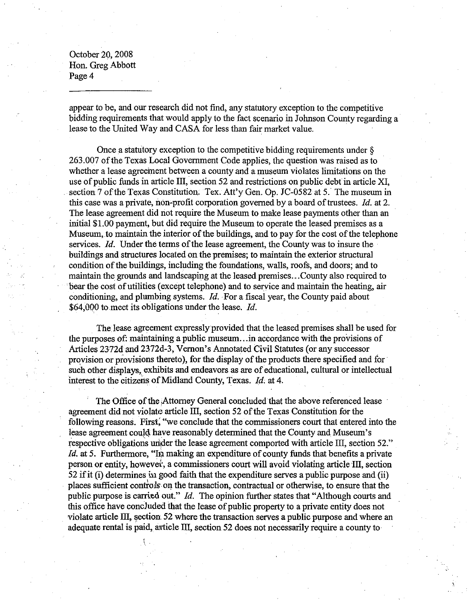appear to be, and our research did not find, any statutory exception to the competitive bidding requirements that would apply to the fact scenario in Johnson County regarding a lease to the United Way and CASA for less than fair market value.

Once a statutory exception to the competitive bidding requirements under § 263.007 of the Texas Local Government Code applies, the question was raised as to whether a lease agreement between a county and a museum violates limitations on the use of public funds in article III, section 52 and restrictions on public debt in article XI, section 7 of the Texas Constitution. Tex. Att'y Gen. Op. JC-0582 at 5. The museum in this case was a private, non-profit corporation governed by a board of trustees.  $Id$ . at 2. The lease agreement did not require the Museum to make lease payments other than an initial \$1.00 payment, but did require the Museum to operate the leased premises as a Museum, to maintain the interior of the buildings, and to pay for the cost of the telephone services. *Id.* Under the terms of the lease agreement, the County was to insure the buildings and structures located on the premises; to maintain the exterior structural condition of the buildings, including the foundations, walls, roofs, and doors; and to maintain the grounds and landscaping at the leased premises...County also required to bear the cost of utilities (except telephone) and to service and maintain the heating, air conditioning, and plumbing systems. *[d.·* For a fiscal year, the County paid about \$64,000 to meet its obligations under the lease.  $Id$ .

The lease agreement expressly provided that the leased premises shall be used for the purposes of: maintaining a public museum...in accordance with the provisions of Articles 2372d and 2372d-3, Vernon's Annotated Civil Statutes (or any successor provision or provisions thereto), for the display of the products there specified and for such other displays, exhibits and endeavors as are of educational, cultural or intellectual interest to the citizens of Midland County, Texas. *Id.* at 4.

The Office of the Attorney General concluded that the above referenced lease agreement did not violate article III, section 52 of the Texas Constitution for the following reasons. First; "we conclude that the commissioners court that entered into the lease agreement could have reasonably determined that the County and Museum's respective obligations under the lease agreement comported with article III, section 52." *Id.* at 5. Furthermore, "In making an expenditure of county funds that benefits a private person or entity, however, a commissioners court will avoid violating article III, section 52 if it (i) determines in good faith that the expenditure serves a public purpose and (ii) places sufficient controls on the transaction, contractual or otherwise, to ensure that the public purpose is carried out." *[d.* The opinion further states that "Although courts and this office have concluded that the lease of public property to a private entity does not violate article III, section  $52$  where the transaction serves a public purpose and where an adequate rental is paid, article III, section 52 does not necessarily require a county to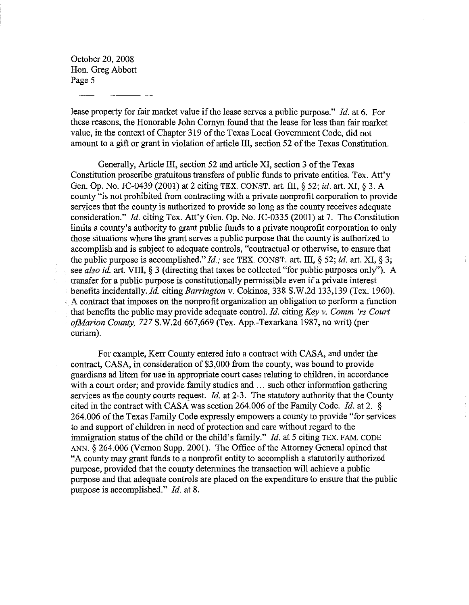lease property for fair market value if the lease serves a public purpose." *Id.* at 6. For these reasons, the Honorable John Cornyn found that the lease for less than fair market value, in the context of Chapter 319 of the Texas Local Government Code, did not amount to a gift or grant in violation of article III, section 52 of the Texas Constitution.

Generally, Article III, section 52 and article XI, section 3 of the Texas Constitution proscribe gratuitous transfers of public funds to private entities. Tex. Att'y Gen. Gp. No. JC-0439 (2001) at 2 citing TEX. CONST. art. **III,** § 52; *id.* art. XI, § 3. A county "is not prohibited from contracting with a private nonprofit corporation to provide services that the county is authorized to provide so long as the county receives adequate consideration." *ld.* citing Tex. Att'y Gen. Op. No. JC-0335 (2001) at 7. The Constitution limits a county's authority to grant public funds to a private nonprofit corporation to only those situations where the grant serves a public purpose that the county is authorized to accomplish and is subject to adequate controls, "contractual or otherwise, to ensure that the public purpose is accomplished." *ld.;* see TEX. CONST. art. **III,** § 52; *id.* art. XI, § 3; see *also id.* art. VIII, § 3 (directing that taxes be collected "for public purposes only"). A transfer for a public purpose is constitutionally permissible even if a private interest benefits incidentally. *Id.* citing *Barrington* v. Cokinos, 338 S.W.2d 133,139 (Tex. 1960). A contract that imposes on the nonprofit organization an obligation to perform a function that benefits the public may provide adequate control. !d. citing *Key* v. *Comm 'rs Court ofMarion County,* 727 S.W.2d 667,669 (Tex. App.-Texarkana 1987, no writ) (per curiam).

For example, Kerr County entered into a contract with CASA, and under the contract, CASA, in consideration of \$3,000 from the county, was bound to provide guardians ad litem for use in appropriate court cases relating to children, in accordance with a court order; and provide family studies and ... such other information gathering services as the county courts request. *ld.* at 2-3. The statutory authority that the County cited in the contract with CASA was section 264.006 of the Family Code. *Id.* at 2.  $\S$ 264.006 of the Texas Family Code expressly empowers a county to provide "for services" to and support of children in need of protection and care without regard to the immigration status of the child or the child's family." *Id.* at 5 citing TEX. FAM. CODE ANN.  $§$  264.006 (Vernon Supp. 2001). The Office of the Attorney General opined that "A county may grant funds to a nonprofit entity to accomplish a statutorily authorized purpose, provided that the county determines the transaction will achieve a public purpose and that adequate controls are placed on the expenditure to ensure that the public purpose is accomplished."  $Id.$  at 8.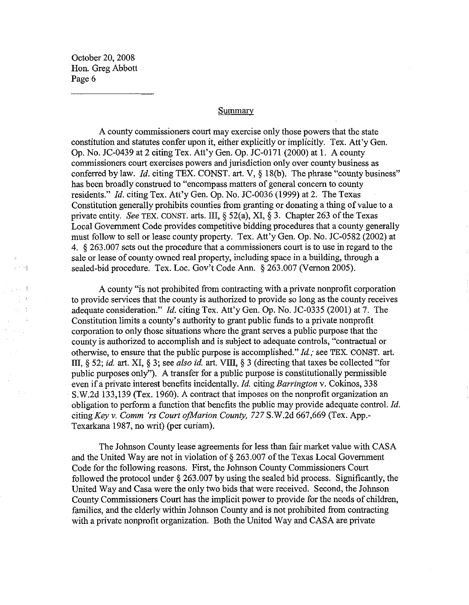计可编

. . . . 8

 $\tau_{\rm C} = 1$ 

 $\pm$   $\pm$ 

## Summary

A county commissioners court may exercise only those powers that the state constitution and statutes confer upon it, either explicitly or implicitly. Tex. Att'y Gen. Op. No. JC-0439 at 2 citing Tex. Att'y Gen. Op. JC-OI71 (2000) at 1. A county commissioners court exercises powers and jurisdiction only over county business as conferred by law. *Id.* citing TEX. CONST. art. V, § 18(b). The phrase "county business" has been broadly construed to "encompass matters of general concern to county residents." *Id.* citing Tex. Att'y Gen. Op. No. JC-0036 (1999) at 2. The Texas Constitution generally prohibits counties from granting or donating a thing of value to a private entity. *See* TEX. CONST. arts. III, § 52(a), XI, § 3. Chapter 263 ofthe Texas Local Government Code provides competitive bidding procedures that a county generally must follow to sell or lease county property. Tex. Att'y Gen. Op. No. JC-0582 (2002) at 4. § 263.007 sets out the procedure that a commissioners court is to use in regard to the sale or lease of county owned real property, including space in a building, through a sealed-bid procedure. Tex. Loc. Gov't Code Ann. § 263.007 (Vernon 2005).

A county "is not prohibited from contracting with a private nonprofit corporation to provide services that the county is authorized to provide so long as the county receives adequate consideration." *ld.* citing Tex. Att'y Gen. Op. No. JC-0335 (2001) at 7. The Constitution limits a county's authority to grant public funds to a private nonprofit corporation to only those situations where the grant serves a public purpose that the county is authorized to accomplish and is subject to adequate controls, "contractual or otherwise, to ensure that the public purpose is accomplished." *ld.;* see TEX. CONST. art. III, § 52; *id.* art. XI, § 3; see *also id.* art. VIII, § 3 (directing that taxes be collected "for public purposes only"). A transfer for a public purpose is constitutionally permissible even if a private interest benefits incidentally. Id. citing *Barrington* v. Cokinos, 338 S.W.2d 133,139 (Tex. 1960). A contract that imposes on the nonprofit organization an obligation to perform a function that benefits the public may provide adequate control. *Id.* citing *Key* v. *Comm 'rs Court ofMarion County,* 727 S.W.2d 667,669 (Tex. App.- Texarkana 1987, no writ) (per curiam).

The Johnson County lease agreements for less than fair market value with CASA and the United Way are not in violation of  $\S 263.007$  of the Texas Local Government Code for the following reasons. First, the Johnson County Commissioners Court followed the protocol under § 263.007 by using the sealed bid process. Significantly, the United Way and Casa were the only two bids that were received. Second, the Johnson County Commissioners Court has the implicit power to provide for the needs of children, families, and the elderly within Johnson County and is not prohibited from contracting with a private nonprofit organization. Both the United Way and CASA are private